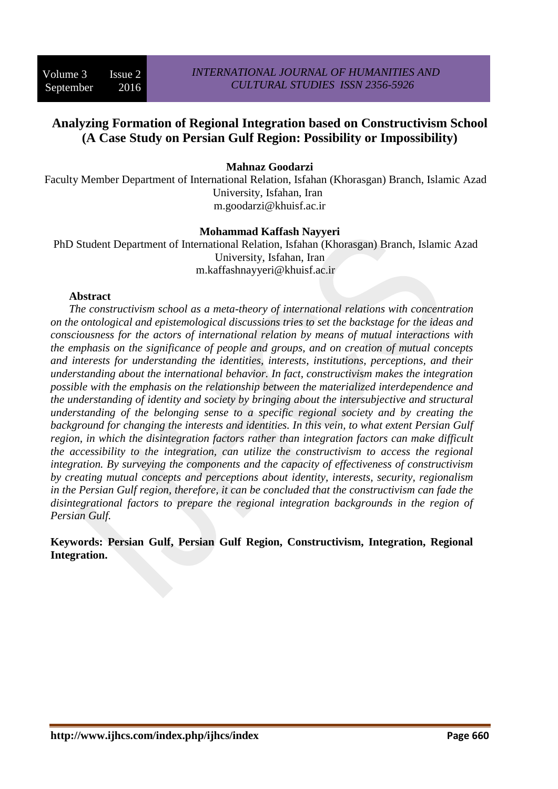# **Analyzing Formation of Regional Integration based on Constructivism School (A Case Study on Persian Gulf Region: Possibility or Impossibility)**

# **Mahnaz Goodarzi**

Faculty Member Department of International Relation, Isfahan (Khorasgan) Branch, Islamic Azad University, Isfahan, Iran m.goodarzi@khuisf.ac.ir

#### **Mohammad Kaffash Nayyeri**

PhD Student Department of International Relation, Isfahan (Khorasgan) Branch, Islamic Azad University, Isfahan, Iran m.kaffashnayyeri@khuisf.ac.ir

#### **Abstract**

*The constructivism school as a meta-theory of international relations with concentration on the ontological and epistemological discussions tries to set the backstage for the ideas and consciousness for the actors of international relation by means of mutual interactions with the emphasis on the significance of people and groups, and on creation of mutual concepts and interests for understanding the identities, interests, institutions, perceptions, and their understanding about the international behavior. In fact, constructivism makes the integration possible with the emphasis on the relationship between the materialized interdependence and the understanding of identity and society by bringing about the intersubjective and structural understanding of the belonging sense to a specific regional society and by creating the background for changing the interests and identities. In this vein, to what extent Persian Gulf region, in which the disintegration factors rather than integration factors can make difficult the accessibility to the integration, can utilize the constructivism to access the regional integration. By surveying the components and the capacity of effectiveness of constructivism by creating mutual concepts and perceptions about identity, interests, security, regionalism in the Persian Gulf region, therefore, it can be concluded that the constructivism can fade the disintegrational factors to prepare the regional integration backgrounds in the region of Persian Gulf.*

**Keywords: Persian Gulf, Persian Gulf Region, Constructivism, Integration, Regional Integration.**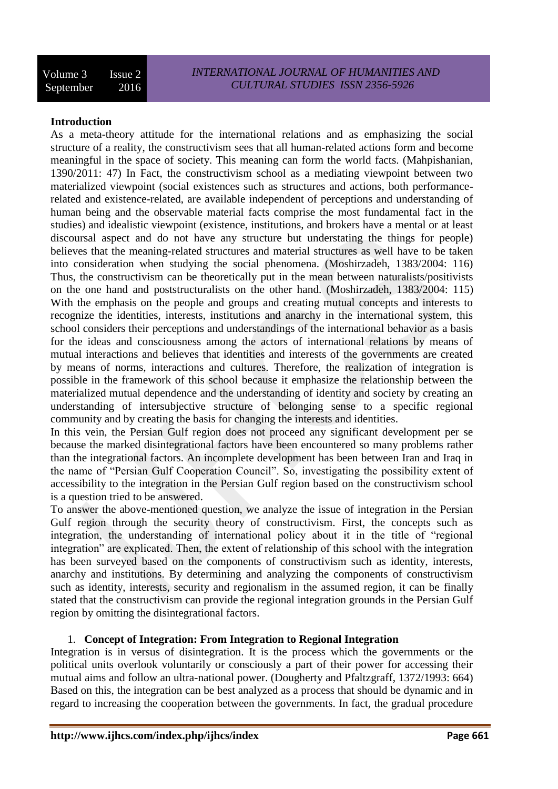#### **Introduction**

As a meta-theory attitude for the international relations and as emphasizing the social structure of a reality, the constructivism sees that all human-related actions form and become meaningful in the space of society. This meaning can form the world facts. (Mahpishanian, 1390/2011: 47) In Fact, the constructivism school as a mediating viewpoint between two materialized viewpoint (social existences such as structures and actions, both performancerelated and existence-related, are available independent of perceptions and understanding of human being and the observable material facts comprise the most fundamental fact in the studies) and idealistic viewpoint (existence, institutions, and brokers have a mental or at least discoursal aspect and do not have any structure but understating the things for people) believes that the meaning-related structures and material structures as well have to be taken into consideration when studying the social phenomena. (Moshirzadeh, 1383/2004: 116) Thus, the constructivism can be theoretically put in the mean between naturalists/positivists on the one hand and poststructuralists on the other hand. (Moshirzadeh, 1383/2004: 115) With the emphasis on the people and groups and creating mutual concepts and interests to recognize the identities, interests, institutions and anarchy in the international system, this school considers their perceptions and understandings of the international behavior as a basis for the ideas and consciousness among the actors of international relations by means of mutual interactions and believes that identities and interests of the governments are created by means of norms, interactions and cultures. Therefore, the realization of integration is possible in the framework of this school because it emphasize the relationship between the materialized mutual dependence and the understanding of identity and society by creating an understanding of intersubjective structure of belonging sense to a specific regional community and by creating the basis for changing the interests and identities.

In this vein, the Persian Gulf region does not proceed any significant development per se because the marked disintegrational factors have been encountered so many problems rather than the integrational factors. An incomplete development has been between Iran and Iraq in the name of "Persian Gulf Cooperation Council". So, investigating the possibility extent of accessibility to the integration in the Persian Gulf region based on the constructivism school is a question tried to be answered.

To answer the above-mentioned question, we analyze the issue of integration in the Persian Gulf region through the security theory of constructivism. First, the concepts such as integration, the understanding of international policy about it in the title of "regional integration" are explicated. Then, the extent of relationship of this school with the integration has been surveyed based on the components of constructivism such as identity, interests, anarchy and institutions. By determining and analyzing the components of constructivism such as identity, interests, security and regionalism in the assumed region, it can be finally stated that the constructivism can provide the regional integration grounds in the Persian Gulf region by omitting the disintegrational factors.

#### 1. **Concept of Integration: From Integration to Regional Integration**

Integration is in versus of disintegration. It is the process which the governments or the political units overlook voluntarily or consciously a part of their power for accessing their mutual aims and follow an ultra-national power. (Dougherty and Pfaltzgraff, 1372/1993: 664) Based on this, the integration can be best analyzed as a process that should be dynamic and in regard to increasing the cooperation between the governments. In fact, the gradual procedure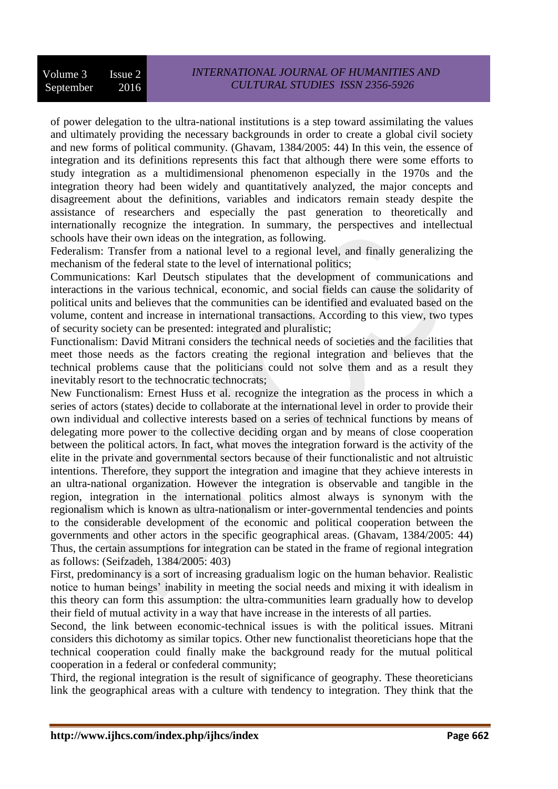of power delegation to the ultra-national institutions is a step toward assimilating the values and ultimately providing the necessary backgrounds in order to create a global civil society and new forms of political community. (Ghavam, 1384/2005: 44) In this vein, the essence of integration and its definitions represents this fact that although there were some efforts to study integration as a multidimensional phenomenon especially in the 1970s and the integration theory had been widely and quantitatively analyzed, the major concepts and disagreement about the definitions, variables and indicators remain steady despite the assistance of researchers and especially the past generation to theoretically and internationally recognize the integration. In summary, the perspectives and intellectual schools have their own ideas on the integration, as following.

Federalism: Transfer from a national level to a regional level, and finally generalizing the mechanism of the federal state to the level of international politics;

Communications: Karl Deutsch stipulates that the development of communications and interactions in the various technical, economic, and social fields can cause the solidarity of political units and believes that the communities can be identified and evaluated based on the volume, content and increase in international transactions. According to this view, two types of security society can be presented: integrated and pluralistic;

Functionalism: David Mitrani considers the technical needs of societies and the facilities that meet those needs as the factors creating the regional integration and believes that the technical problems cause that the politicians could not solve them and as a result they inevitably resort to the technocratic technocrats;

New Functionalism: Ernest Huss et al. recognize the integration as the process in which a series of actors (states) decide to collaborate at the international level in order to provide their own individual and collective interests based on a series of technical functions by means of delegating more power to the collective deciding organ and by means of close cooperation between the political actors. In fact, what moves the integration forward is the activity of the elite in the private and governmental sectors because of their functionalistic and not altruistic intentions. Therefore, they support the integration and imagine that they achieve interests in an ultra-national organization. However the integration is observable and tangible in the region, integration in the international politics almost always is synonym with the regionalism which is known as ultra-nationalism or inter-governmental tendencies and points to the considerable development of the economic and political cooperation between the governments and other actors in the specific geographical areas. (Ghavam, 1384/2005: 44) Thus, the certain assumptions for integration can be stated in the frame of regional integration as follows: (Seifzadeh, 1384/2005: 403)

First, predominancy is a sort of increasing gradualism logic on the human behavior. Realistic notice to human beings' inability in meeting the social needs and mixing it with idealism in this theory can form this assumption: the ultra-communities learn gradually how to develop their field of mutual activity in a way that have increase in the interests of all parties.

Second, the link between economic-technical issues is with the political issues. Mitrani considers this dichotomy as similar topics. Other new functionalist theoreticians hope that the technical cooperation could finally make the background ready for the mutual political cooperation in a federal or confederal community;

Third, the regional integration is the result of significance of geography. These theoreticians link the geographical areas with a culture with tendency to integration. They think that the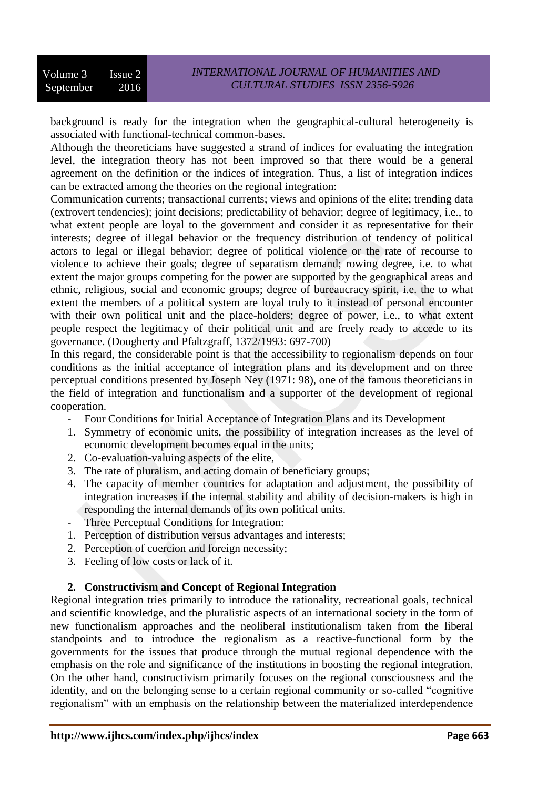background is ready for the integration when the geographical-cultural heterogeneity is associated with functional-technical common-bases.

Although the theoreticians have suggested a strand of indices for evaluating the integration level, the integration theory has not been improved so that there would be a general agreement on the definition or the indices of integration. Thus, a list of integration indices can be extracted among the theories on the regional integration:

Communication currents; transactional currents; views and opinions of the elite; trending data (extrovert tendencies); joint decisions; predictability of behavior; degree of legitimacy, i.e., to what extent people are loyal to the government and consider it as representative for their interests; degree of illegal behavior or the frequency distribution of tendency of political actors to legal or illegal behavior; degree of political violence or the rate of recourse to violence to achieve their goals; degree of separatism demand; rowing degree, i.e. to what extent the major groups competing for the power are supported by the geographical areas and ethnic, religious, social and economic groups; degree of bureaucracy spirit, i.e. the to what extent the members of a political system are loyal truly to it instead of personal encounter with their own political unit and the place-holders; degree of power, i.e., to what extent people respect the legitimacy of their political unit and are freely ready to accede to its governance. (Dougherty and Pfaltzgraff, 1372/1993: 697-700)

In this regard, the considerable point is that the accessibility to regionalism depends on four conditions as the initial acceptance of integration plans and its development and on three perceptual conditions presented by Joseph Ney (1971: 98), one of the famous theoreticians in the field of integration and functionalism and a supporter of the development of regional cooperation.

- Four Conditions for Initial Acceptance of Integration Plans and its Development
- 1. Symmetry of economic units, the possibility of integration increases as the level of economic development becomes equal in the units;
- 2. Co-evaluation-valuing aspects of the elite,
- 3. The rate of pluralism, and acting domain of beneficiary groups;
- 4. The capacity of member countries for adaptation and adjustment, the possibility of integration increases if the internal stability and ability of decision-makers is high in responding the internal demands of its own political units.
- Three Perceptual Conditions for Integration:
- 1. Perception of distribution versus advantages and interests;
- 2. Perception of coercion and foreign necessity;
- 3. Feeling of low costs or lack of it.

# **2. Constructivism and Concept of Regional Integration**

Regional integration tries primarily to introduce the rationality, recreational goals, technical and scientific knowledge, and the pluralistic aspects of an international society in the form of new functionalism approaches and the neoliberal institutionalism taken from the liberal standpoints and to introduce the regionalism as a reactive-functional form by the governments for the issues that produce through the mutual regional dependence with the emphasis on the role and significance of the institutions in boosting the regional integration. On the other hand, constructivism primarily focuses on the regional consciousness and the identity, and on the belonging sense to a certain regional community or so-called "cognitive regionalism" with an emphasis on the relationship between the materialized interdependence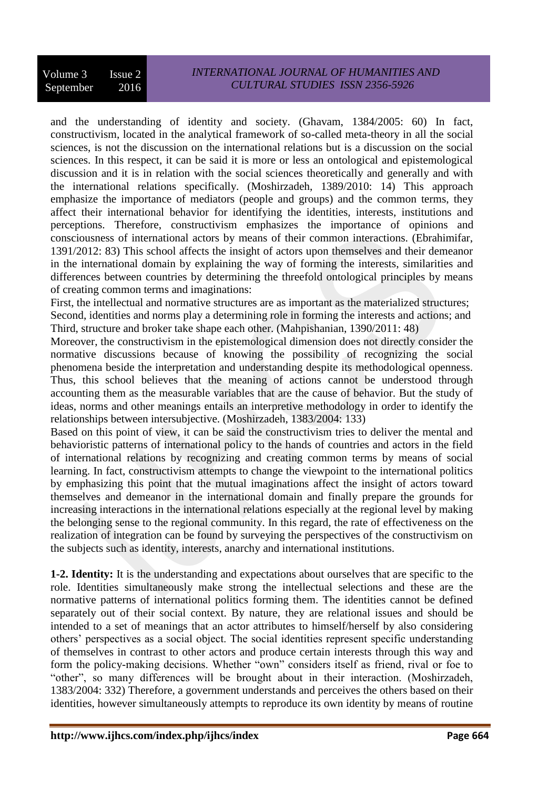# *INTERNATIONAL JOURNAL OF HUMANITIES AND CULTURAL STUDIES ISSN 2356-5926*

and the understanding of identity and society. (Ghavam, 1384/2005: 60) In fact, constructivism, located in the analytical framework of so-called meta-theory in all the social sciences, is not the discussion on the international relations but is a discussion on the social sciences. In this respect, it can be said it is more or less an ontological and epistemological discussion and it is in relation with the social sciences theoretically and generally and with the international relations specifically. (Moshirzadeh, 1389/2010: 14) This approach emphasize the importance of mediators (people and groups) and the common terms, they affect their international behavior for identifying the identities, interests, institutions and perceptions. Therefore, constructivism emphasizes the importance of opinions and consciousness of international actors by means of their common interactions. (Ebrahimifar, 1391/2012: 83) This school affects the insight of actors upon themselves and their demeanor in the international domain by explaining the way of forming the interests, similarities and differences between countries by determining the threefold ontological principles by means of creating common terms and imaginations:

First, the intellectual and normative structures are as important as the materialized structures; Second, identities and norms play a determining role in forming the interests and actions; and Third, structure and broker take shape each other. (Mahpishanian, 1390/2011: 48)

Moreover, the constructivism in the epistemological dimension does not directly consider the normative discussions because of knowing the possibility of recognizing the social phenomena beside the interpretation and understanding despite its methodological openness. Thus, this school believes that the meaning of actions cannot be understood through accounting them as the measurable variables that are the cause of behavior. But the study of ideas, norms and other meanings entails an interpretive methodology in order to identify the relationships between intersubjective. (Moshirzadeh, 1383/2004: 133)

Based on this point of view, it can be said the constructivism tries to deliver the mental and behavioristic patterns of international policy to the hands of countries and actors in the field of international relations by recognizing and creating common terms by means of social learning. In fact, constructivism attempts to change the viewpoint to the international politics by emphasizing this point that the mutual imaginations affect the insight of actors toward themselves and demeanor in the international domain and finally prepare the grounds for increasing interactions in the international relations especially at the regional level by making the belonging sense to the regional community. In this regard, the rate of effectiveness on the realization of integration can be found by surveying the perspectives of the constructivism on the subjects such as identity, interests, anarchy and international institutions.

**1-2. Identity:** It is the understanding and expectations about ourselves that are specific to the role. Identities simultaneously make strong the intellectual selections and these are the normative patterns of international politics forming them. The identities cannot be defined separately out of their social context. By nature, they are relational issues and should be intended to a set of meanings that an actor attributes to himself/herself by also considering others' perspectives as a social object. The social identities represent specific understanding of themselves in contrast to other actors and produce certain interests through this way and form the policy-making decisions. Whether "own" considers itself as friend, rival or foe to "other", so many differences will be brought about in their interaction. (Moshirzadeh, 1383/2004: 332) Therefore, a government understands and perceives the others based on their identities, however simultaneously attempts to reproduce its own identity by means of routine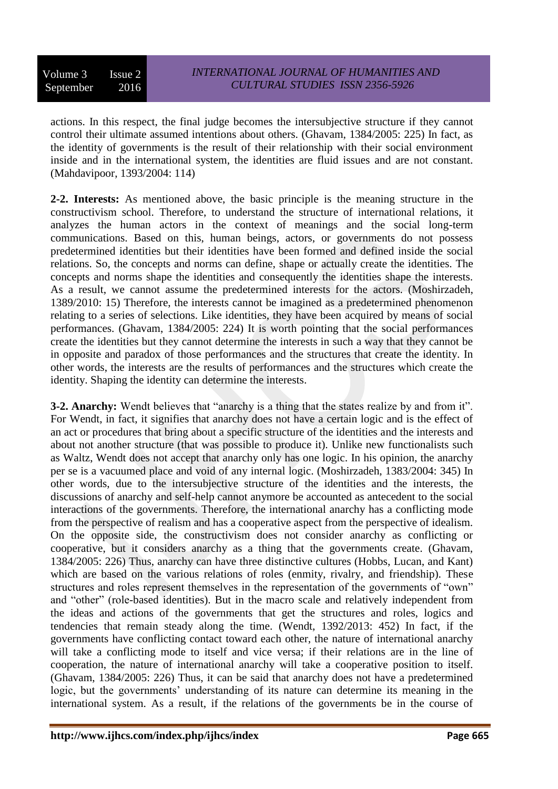actions. In this respect, the final judge becomes the intersubjective structure if they cannot control their ultimate assumed intentions about others. (Ghavam, 1384/2005: 225) In fact, as the identity of governments is the result of their relationship with their social environment inside and in the international system, the identities are fluid issues and are not constant. (Mahdavipoor, 1393/2004: 114)

**2-2. Interests:** As mentioned above, the basic principle is the meaning structure in the constructivism school. Therefore, to understand the structure of international relations, it analyzes the human actors in the context of meanings and the social long-term communications. Based on this, human beings, actors, or governments do not possess predetermined identities but their identities have been formed and defined inside the social relations. So, the concepts and norms can define, shape or actually create the identities. The concepts and norms shape the identities and consequently the identities shape the interests. As a result, we cannot assume the predetermined interests for the actors. (Moshirzadeh, 1389/2010: 15) Therefore, the interests cannot be imagined as a predetermined phenomenon relating to a series of selections. Like identities, they have been acquired by means of social performances. (Ghavam, 1384/2005: 224) It is worth pointing that the social performances create the identities but they cannot determine the interests in such a way that they cannot be in opposite and paradox of those performances and the structures that create the identity. In other words, the interests are the results of performances and the structures which create the identity. Shaping the identity can determine the interests.

**3-2. Anarchy:** Wendt believes that "anarchy is a thing that the states realize by and from it". For Wendt, in fact, it signifies that anarchy does not have a certain logic and is the effect of an act or procedures that bring about a specific structure of the identities and the interests and about not another structure (that was possible to produce it). Unlike new functionalists such as Waltz, Wendt does not accept that anarchy only has one logic. In his opinion, the anarchy per se is a vacuumed place and void of any internal logic. (Moshirzadeh, 1383/2004: 345) In other words, due to the intersubjective structure of the identities and the interests, the discussions of anarchy and self-help cannot anymore be accounted as antecedent to the social interactions of the governments. Therefore, the international anarchy has a conflicting mode from the perspective of realism and has a cooperative aspect from the perspective of idealism. On the opposite side, the constructivism does not consider anarchy as conflicting or cooperative, but it considers anarchy as a thing that the governments create. (Ghavam, 1384/2005: 226) Thus, anarchy can have three distinctive cultures (Hobbs, Lucan, and Kant) which are based on the various relations of roles (enmity, rivalry, and friendship). These structures and roles represent themselves in the representation of the governments of "own" and "other" (role-based identities). But in the macro scale and relatively independent from the ideas and actions of the governments that get the structures and roles, logics and tendencies that remain steady along the time. (Wendt, 1392/2013: 452) In fact, if the governments have conflicting contact toward each other, the nature of international anarchy will take a conflicting mode to itself and vice versa; if their relations are in the line of cooperation, the nature of international anarchy will take a cooperative position to itself. (Ghavam, 1384/2005: 226) Thus, it can be said that anarchy does not have a predetermined logic, but the governments' understanding of its nature can determine its meaning in the international system. As a result, if the relations of the governments be in the course of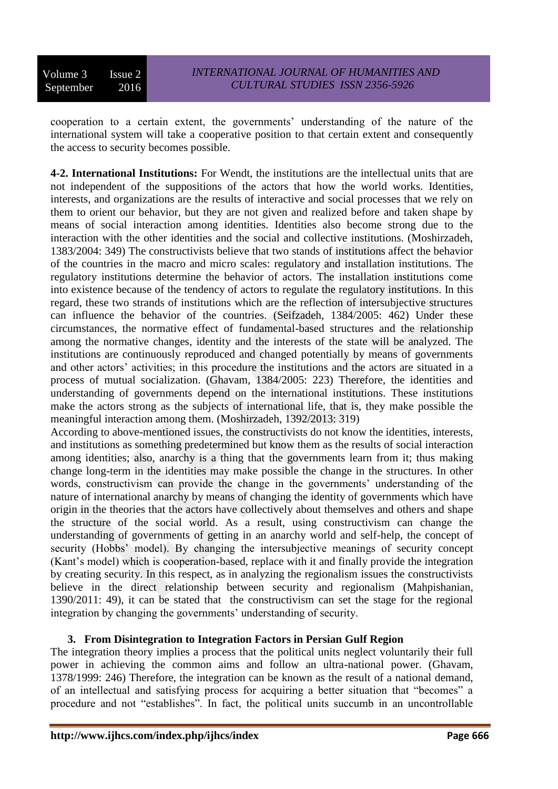Volume 3 Issue 2 September 2016

cooperation to a certain extent, the governments' understanding of the nature of the international system will take a cooperative position to that certain extent and consequently the access to security becomes possible.

**4-2. International Institutions:** For Wendt, the institutions are the intellectual units that are not independent of the suppositions of the actors that how the world works. Identities, interests, and organizations are the results of interactive and social processes that we rely on them to orient our behavior, but they are not given and realized before and taken shape by means of social interaction among identities. Identities also become strong due to the interaction with the other identities and the social and collective institutions. (Moshirzadeh, 1383/2004: 349) The constructivists believe that two stands of institutions affect the behavior of the countries in the macro and micro scales: regulatory and installation institutions. The regulatory institutions determine the behavior of actors. The installation institutions come into existence because of the tendency of actors to regulate the regulatory institutions. In this regard, these two strands of institutions which are the reflection of intersubjective structures can influence the behavior of the countries. (Seifzadeh, 1384/2005: 462) Under these circumstances, the normative effect of fundamental-based structures and the relationship among the normative changes, identity and the interests of the state will be analyzed. The institutions are continuously reproduced and changed potentially by means of governments and other actors' activities; in this procedure the institutions and the actors are situated in a process of mutual socialization. (Ghavam, 1384/2005: 223) Therefore, the identities and understanding of governments depend on the international institutions. These institutions make the actors strong as the subjects of international life, that is, they make possible the meaningful interaction among them. (Moshirzadeh, 1392/2013: 319)

According to above-mentioned issues, the constructivists do not know the identities, interests, and institutions as something predetermined but know them as the results of social interaction among identities; also, anarchy is a thing that the governments learn from it; thus making change long-term in the identities may make possible the change in the structures. In other words, constructivism can provide the change in the governments' understanding of the nature of international anarchy by means of changing the identity of governments which have origin in the theories that the actors have collectively about themselves and others and shape the structure of the social world. As a result, using constructivism can change the understanding of governments of getting in an anarchy world and self-help, the concept of security (Hobbs' model). By changing the intersubjective meanings of security concept (Kant's model) which is cooperation-based, replace with it and finally provide the integration by creating security. In this respect, as in analyzing the regionalism issues the constructivists believe in the direct relationship between security and regionalism (Mahpishanian, 1390/2011: 49), it can be stated that the constructivism can set the stage for the regional integration by changing the governments' understanding of security.

# **3. From Disintegration to Integration Factors in Persian Gulf Region**

The integration theory implies a process that the political units neglect voluntarily their full power in achieving the common aims and follow an ultra-national power. (Ghavam, 1378/1999: 246) Therefore, the integration can be known as the result of a national demand, of an intellectual and satisfying process for acquiring a better situation that "becomes" a procedure and not "establishes". In fact, the political units succumb in an uncontrollable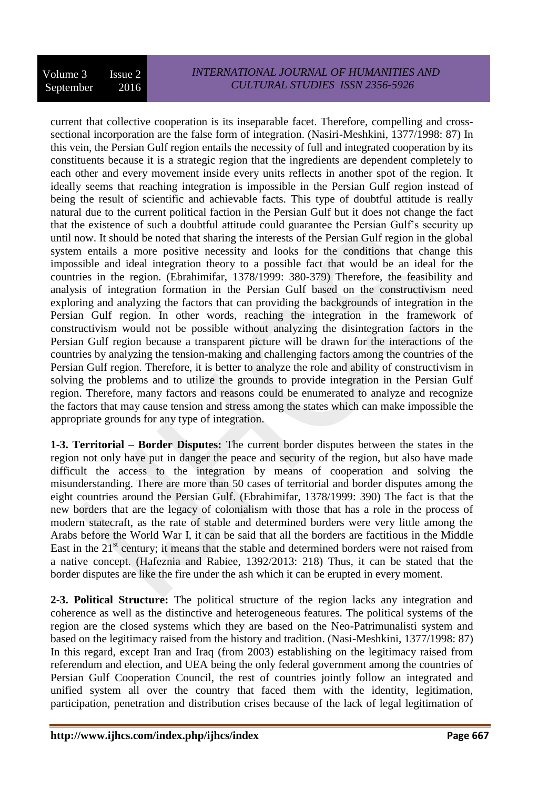current that collective cooperation is its inseparable facet. Therefore, compelling and crosssectional incorporation are the false form of integration. (Nasiri-Meshkini, 1377/1998: 87) In this vein, the Persian Gulf region entails the necessity of full and integrated cooperation by its constituents because it is a strategic region that the ingredients are dependent completely to each other and every movement inside every units reflects in another spot of the region. It ideally seems that reaching integration is impossible in the Persian Gulf region instead of being the result of scientific and achievable facts. This type of doubtful attitude is really natural due to the current political faction in the Persian Gulf but it does not change the fact that the existence of such a doubtful attitude could guarantee the Persian Gulf's security up until now. It should be noted that sharing the interests of the Persian Gulf region in the global system entails a more positive necessity and looks for the conditions that change this impossible and ideal integration theory to a possible fact that would be an ideal for the countries in the region. (Ebrahimifar, 1378/1999: 380-379) Therefore, the feasibility and analysis of integration formation in the Persian Gulf based on the constructivism need exploring and analyzing the factors that can providing the backgrounds of integration in the Persian Gulf region. In other words, reaching the integration in the framework of constructivism would not be possible without analyzing the disintegration factors in the Persian Gulf region because a transparent picture will be drawn for the interactions of the countries by analyzing the tension-making and challenging factors among the countries of the Persian Gulf region. Therefore, it is better to analyze the role and ability of constructivism in solving the problems and to utilize the grounds to provide integration in the Persian Gulf region. Therefore, many factors and reasons could be enumerated to analyze and recognize the factors that may cause tension and stress among the states which can make impossible the appropriate grounds for any type of integration.

**1-3. Territorial – Border Disputes:** The current border disputes between the states in the region not only have put in danger the peace and security of the region, but also have made difficult the access to the integration by means of cooperation and solving the misunderstanding. There are more than 50 cases of territorial and border disputes among the eight countries around the Persian Gulf. (Ebrahimifar, 1378/1999: 390) The fact is that the new borders that are the legacy of colonialism with those that has a role in the process of modern statecraft, as the rate of stable and determined borders were very little among the Arabs before the World War I, it can be said that all the borders are factitious in the Middle East in the  $21<sup>st</sup>$  century; it means that the stable and determined borders were not raised from a native concept. (Hafeznia and Rabiee, 1392/2013: 218) Thus, it can be stated that the border disputes are like the fire under the ash which it can be erupted in every moment.

**2-3. Political Structure:** The political structure of the region lacks any integration and coherence as well as the distinctive and heterogeneous features. The political systems of the region are the closed systems which they are based on the Neo-Patrimunalisti system and based on the legitimacy raised from the history and tradition. (Nasi-Meshkini, 1377/1998: 87) In this regard, except Iran and Iraq (from 2003) establishing on the legitimacy raised from referendum and election, and UEA being the only federal government among the countries of Persian Gulf Cooperation Council, the rest of countries jointly follow an integrated and unified system all over the country that faced them with the identity, legitimation, participation, penetration and distribution crises because of the lack of legal legitimation of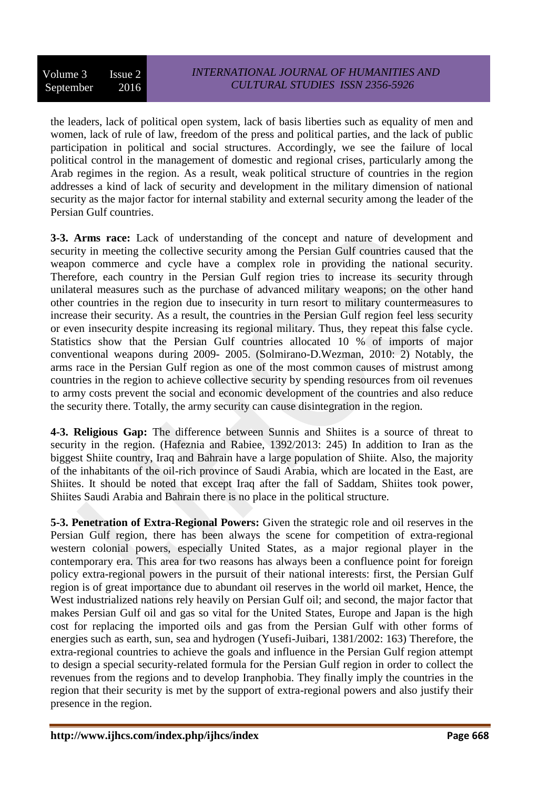the leaders, lack of political open system, lack of basis liberties such as equality of men and women, lack of rule of law, freedom of the press and political parties, and the lack of public participation in political and social structures. Accordingly, we see the failure of local political control in the management of domestic and regional crises, particularly among the Arab regimes in the region. As a result, weak political structure of countries in the region addresses a kind of lack of security and development in the military dimension of national security as the major factor for internal stability and external security among the leader of the Persian Gulf countries.

**3-3. Arms race:** Lack of understanding of the concept and nature of development and security in meeting the collective security among the Persian Gulf countries caused that the weapon commerce and cycle have a complex role in providing the national security. Therefore, each country in the Persian Gulf region tries to increase its security through unilateral measures such as the purchase of advanced military weapons; on the other hand other countries in the region due to insecurity in turn resort to military countermeasures to increase their security. As a result, the countries in the Persian Gulf region feel less security or even insecurity despite increasing its regional military. Thus, they repeat this false cycle. Statistics show that the Persian Gulf countries allocated 10 % of imports of major conventional weapons during 2009- 2005. (Solmirano-D.Wezman, 2010: 2) Notably, the arms race in the Persian Gulf region as one of the most common causes of mistrust among countries in the region to achieve collective security by spending resources from oil revenues to army costs prevent the social and economic development of the countries and also reduce the security there. Totally, the army security can cause disintegration in the region.

**4-3. Religious Gap:** The difference between Sunnis and Shiites is a source of threat to security in the region. (Hafeznia and Rabiee, 1392/2013: 245) In addition to Iran as the biggest Shiite country, Iraq and Bahrain have a large population of Shiite. Also, the majority of the inhabitants of the oil-rich province of Saudi Arabia, which are located in the East, are Shiites. It should be noted that except Iraq after the fall of Saddam, Shiites took power, Shiites Saudi Arabia and Bahrain there is no place in the political structure.

**5-3. Penetration of Extra-Regional Powers:** Given the strategic role and oil reserves in the Persian Gulf region, there has been always the scene for competition of extra-regional western colonial powers, especially United States, as a major regional player in the contemporary era. This area for two reasons has always been a confluence point for foreign policy extra-regional powers in the pursuit of their national interests: first, the Persian Gulf region is of great importance due to abundant oil reserves in the world oil market, Hence, the West industrialized nations rely heavily on Persian Gulf oil; and second, the major factor that makes Persian Gulf oil and gas so vital for the United States, Europe and Japan is the high cost for replacing the imported oils and gas from the Persian Gulf with other forms of energies such as earth, sun, sea and hydrogen (Yusefi-Juibari, 1381/2002: 163) Therefore, the extra-regional countries to achieve the goals and influence in the Persian Gulf region attempt to design a special security-related formula for the Persian Gulf region in order to collect the revenues from the regions and to develop Iranphobia. They finally imply the countries in the region that their security is met by the support of extra-regional powers and also justify their presence in the region.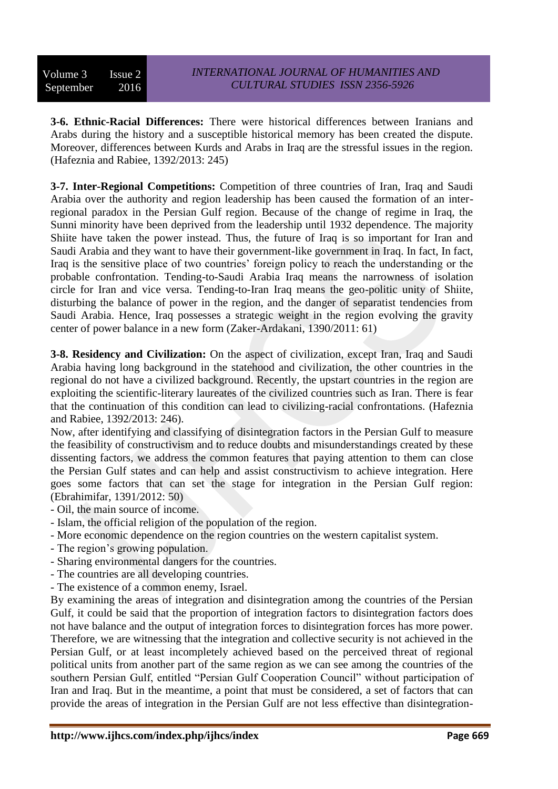**3-6. Ethnic-Racial Differences:** There were historical differences between Iranians and Arabs during the history and a susceptible historical memory has been created the dispute. Moreover, differences between Kurds and Arabs in Iraq are the stressful issues in the region. (Hafeznia and Rabiee, 1392/2013: 245)

**3-7. Inter-Regional Competitions:** Competition of three countries of Iran, Iraq and Saudi Arabia over the authority and region leadership has been caused the formation of an interregional paradox in the Persian Gulf region. Because of the change of regime in Iraq, the Sunni minority have been deprived from the leadership until 1932 dependence. The majority Shiite have taken the power instead. Thus, the future of Iraq is so important for Iran and Saudi Arabia and they want to have their government-like government in Iraq. In fact, In fact, Iraq is the sensitive place of two countries' foreign policy to reach the understanding or the probable confrontation. Tending-to-Saudi Arabia Iraq means the narrowness of isolation circle for Iran and vice versa. Tending-to-Iran Iraq means the geo-politic unity of Shiite, disturbing the balance of power in the region, and the danger of separatist tendencies from Saudi Arabia. Hence, Iraq possesses a strategic weight in the region evolving the gravity center of power balance in a new form (Zaker-Ardakani, 1390/2011: 61)

**3-8. Residency and Civilization:** On the aspect of civilization, except Iran, Iraq and Saudi Arabia having long background in the statehood and civilization, the other countries in the regional do not have a civilized background. Recently, the upstart countries in the region are exploiting the scientific-literary laureates of the civilized countries such as Iran. There is fear that the continuation of this condition can lead to civilizing-racial confrontations. (Hafeznia and Rabiee, 1392/2013: 246).

Now, after identifying and classifying of disintegration factors in the Persian Gulf to measure the feasibility of constructivism and to reduce doubts and misunderstandings created by these dissenting factors, we address the common features that paying attention to them can close the Persian Gulf states and can help and assist constructivism to achieve integration. Here goes some factors that can set the stage for integration in the Persian Gulf region: (Ebrahimifar, 1391/2012: 50)

- Oil, the main source of income.
- Islam, the official religion of the population of the region.
- More economic dependence on the region countries on the western capitalist system.
- The region's growing population.
- Sharing environmental dangers for the countries.
- The countries are all developing countries.
- The existence of a common enemy, Israel.

By examining the areas of integration and disintegration among the countries of the Persian Gulf, it could be said that the proportion of integration factors to disintegration factors does not have balance and the output of integration forces to disintegration forces has more power. Therefore, we are witnessing that the integration and collective security is not achieved in the Persian Gulf, or at least incompletely achieved based on the perceived threat of regional political units from another part of the same region as we can see among the countries of the southern Persian Gulf, entitled "Persian Gulf Cooperation Council" without participation of Iran and Iraq. But in the meantime, a point that must be considered, a set of factors that can provide the areas of integration in the Persian Gulf are not less effective than disintegration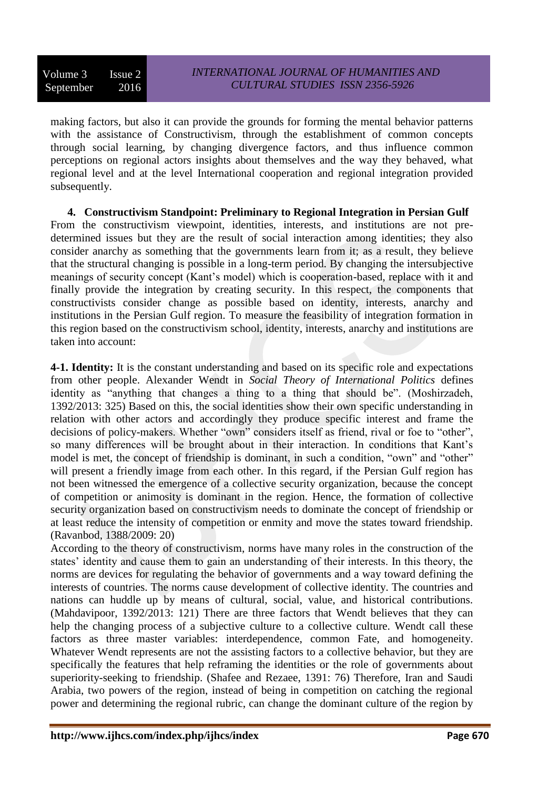making factors, but also it can provide the grounds for forming the mental behavior patterns with the assistance of Constructivism, through the establishment of common concepts through social learning, by changing divergence factors, and thus influence common perceptions on regional actors insights about themselves and the way they behaved, what regional level and at the level International cooperation and regional integration provided subsequently.

**4. Constructivism Standpoint: Preliminary to Regional Integration in Persian Gulf** From the constructivism viewpoint, identities, interests, and institutions are not predetermined issues but they are the result of social interaction among identities; they also consider anarchy as something that the governments learn from it; as a result, they believe that the structural changing is possible in a long-term period. By changing the intersubjective meanings of security concept (Kant's model) which is cooperation-based, replace with it and finally provide the integration by creating security. In this respect, the components that constructivists consider change as possible based on identity, interests, anarchy and institutions in the Persian Gulf region. To measure the feasibility of integration formation in this region based on the constructivism school, identity, interests, anarchy and institutions are taken into account:

**4-1. Identity:** It is the constant understanding and based on its specific role and expectations from other people. Alexander Wendt in *Social Theory of International Politics* defines identity as "anything that changes a thing to a thing that should be". (Moshirzadeh, 1392/2013: 325) Based on this, the social identities show their own specific understanding in relation with other actors and accordingly they produce specific interest and frame the decisions of policy-makers. Whether "own" considers itself as friend, rival or foe to "other", so many differences will be brought about in their interaction. In conditions that Kant's model is met, the concept of friendship is dominant, in such a condition, "own" and "other" will present a friendly image from each other. In this regard, if the Persian Gulf region has not been witnessed the emergence of a collective security organization, because the concept of competition or animosity is dominant in the region. Hence, the formation of collective security organization based on constructivism needs to dominate the concept of friendship or at least reduce the intensity of competition or enmity and move the states toward friendship. (Ravanbod, 1388/2009: 20)

According to the theory of constructivism, norms have many roles in the construction of the states' identity and cause them to gain an understanding of their interests. In this theory, the norms are devices for regulating the behavior of governments and a way toward defining the interests of countries. The norms cause development of collective identity. The countries and nations can huddle up by means of cultural, social, value, and historical contributions. (Mahdavipoor, 1392/2013: 121) There are three factors that Wendt believes that they can help the changing process of a subjective culture to a collective culture. Wendt call these factors as three master variables: interdependence, common Fate, and homogeneity. Whatever Wendt represents are not the assisting factors to a collective behavior, but they are specifically the features that help reframing the identities or the role of governments about superiority-seeking to friendship. (Shafee and Rezaee, 1391: 76) Therefore, Iran and Saudi Arabia, two powers of the region, instead of being in competition on catching the regional power and determining the regional rubric, can change the dominant culture of the region by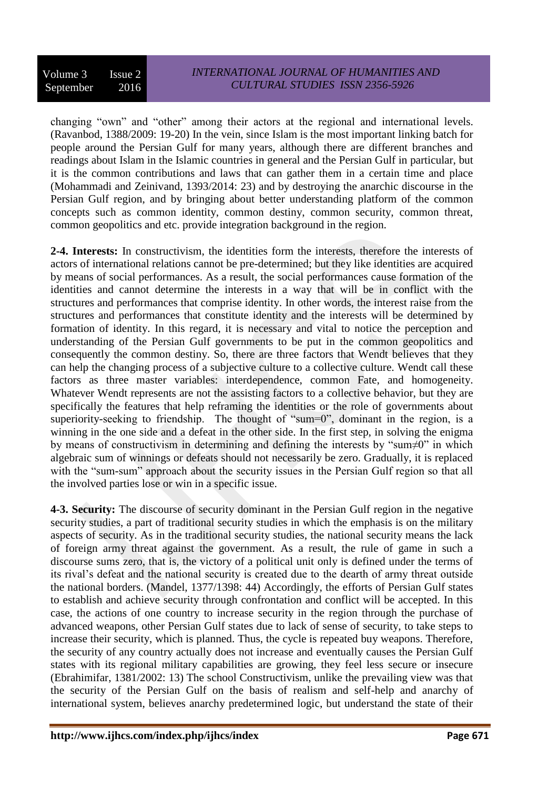changing "own" and "other" among their actors at the regional and international levels. (Ravanbod, 1388/2009: 19-20) In the vein, since Islam is the most important linking batch for people around the Persian Gulf for many years, although there are different branches and readings about Islam in the Islamic countries in general and the Persian Gulf in particular, but it is the common contributions and laws that can gather them in a certain time and place (Mohammadi and Zeinivand, 1393/2014: 23) and by destroying the anarchic discourse in the Persian Gulf region, and by bringing about better understanding platform of the common concepts such as common identity, common destiny, common security, common threat, common geopolitics and etc. provide integration background in the region.

**2-4. Interests:** In constructivism, the identities form the interests, therefore the interests of actors of international relations cannot be pre-determined; but they like identities are acquired by means of social performances. As a result, the social performances cause formation of the identities and cannot determine the interests in a way that will be in conflict with the structures and performances that comprise identity. In other words, the interest raise from the structures and performances that constitute identity and the interests will be determined by formation of identity. In this regard, it is necessary and vital to notice the perception and understanding of the Persian Gulf governments to be put in the common geopolitics and consequently the common destiny. So, there are three factors that Wendt believes that they can help the changing process of a subjective culture to a collective culture. Wendt call these factors as three master variables: interdependence, common Fate, and homogeneity. Whatever Wendt represents are not the assisting factors to a collective behavior, but they are specifically the features that help reframing the identities or the role of governments about superiority-seeking to friendship. The thought of "sum=0", dominant in the region, is a winning in the one side and a defeat in the other side. In the first step, in solving the enigma by means of constructivism in determining and defining the interests by "sum≠0" in which algebraic sum of winnings or defeats should not necessarily be zero. Gradually, it is replaced with the "sum-sum" approach about the security issues in the Persian Gulf region so that all the involved parties lose or win in a specific issue.

**4-3. Security:** The discourse of security dominant in the Persian Gulf region in the negative security studies, a part of traditional security studies in which the emphasis is on the military aspects of security. As in the traditional security studies, the national security means the lack of foreign army threat against the government. As a result, the rule of game in such a discourse sums zero, that is, the victory of a political unit only is defined under the terms of its rival's defeat and the national security is created due to the dearth of army threat outside the national borders. (Mandel, 1377/1398: 44) Accordingly, the efforts of Persian Gulf states to establish and achieve security through confrontation and conflict will be accepted. In this case, the actions of one country to increase security in the region through the purchase of advanced weapons, other Persian Gulf states due to lack of sense of security, to take steps to increase their security, which is planned. Thus, the cycle is repeated buy weapons. Therefore, the security of any country actually does not increase and eventually causes the Persian Gulf states with its regional military capabilities are growing, they feel less secure or insecure (Ebrahimifar, 1381/2002: 13) The school Constructivism, unlike the prevailing view was that the security of the Persian Gulf on the basis of realism and self-help and anarchy of international system, believes anarchy predetermined logic, but understand the state of their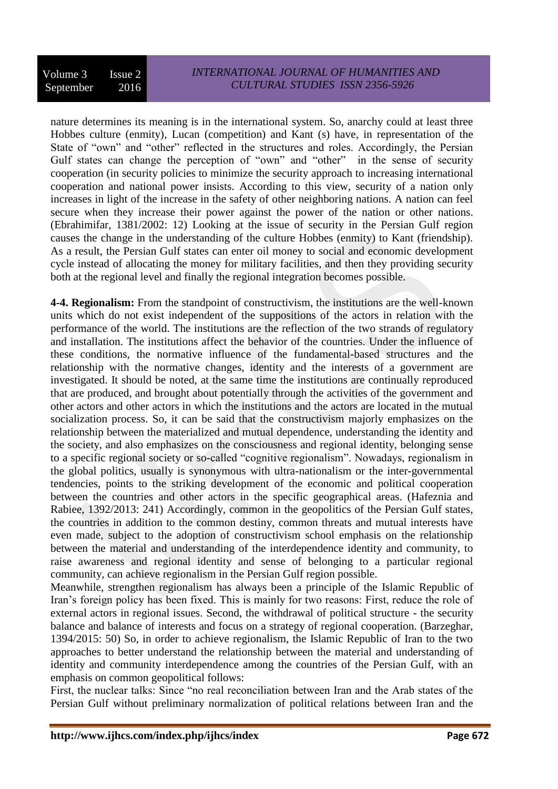nature determines its meaning is in the international system. So, anarchy could at least three Hobbes culture (enmity), Lucan (competition) and Kant (s) have, in representation of the State of "own" and "other" reflected in the structures and roles. Accordingly, the Persian Gulf states can change the perception of "own" and "other" in the sense of security cooperation (in security policies to minimize the security approach to increasing international cooperation and national power insists. According to this view, security of a nation only increases in light of the increase in the safety of other neighboring nations. A nation can feel secure when they increase their power against the power of the nation or other nations. (Ebrahimifar, 1381/2002: 12) Looking at the issue of security in the Persian Gulf region causes the change in the understanding of the culture Hobbes (enmity) to Kant (friendship). As a result, the Persian Gulf states can enter oil money to social and economic development cycle instead of allocating the money for military facilities, and then they providing security both at the regional level and finally the regional integration becomes possible.

**4-4. Regionalism:** From the standpoint of constructivism, the institutions are the well-known units which do not exist independent of the suppositions of the actors in relation with the performance of the world. The institutions are the reflection of the two strands of regulatory and installation. The institutions affect the behavior of the countries. Under the influence of these conditions, the normative influence of the fundamental-based structures and the relationship with the normative changes, identity and the interests of a government are investigated. It should be noted, at the same time the institutions are continually reproduced that are produced, and brought about potentially through the activities of the government and other actors and other actors in which the institutions and the actors are located in the mutual socialization process. So, it can be said that the constructivism majorly emphasizes on the relationship between the materialized and mutual dependence, understanding the identity and the society, and also emphasizes on the consciousness and regional identity, belonging sense to a specific regional society or so-called "cognitive regionalism". Nowadays, regionalism in the global politics, usually is synonymous with ultra-nationalism or the inter-governmental tendencies, points to the striking development of the economic and political cooperation between the countries and other actors in the specific geographical areas. (Hafeznia and Rabiee, 1392/2013: 241) Accordingly, common in the geopolitics of the Persian Gulf states, the countries in addition to the common destiny, common threats and mutual interests have even made, subject to the adoption of constructivism school emphasis on the relationship between the material and understanding of the interdependence identity and community, to raise awareness and regional identity and sense of belonging to a particular regional community, can achieve regionalism in the Persian Gulf region possible.

Meanwhile, strengthen regionalism has always been a principle of the Islamic Republic of Iran's foreign policy has been fixed. This is mainly for two reasons: First, reduce the role of external actors in regional issues. Second, the withdrawal of political structure - the security balance and balance of interests and focus on a strategy of regional cooperation. (Barzeghar, 1394/2015: 50) So, in order to achieve regionalism, the Islamic Republic of Iran to the two approaches to better understand the relationship between the material and understanding of identity and community interdependence among the countries of the Persian Gulf, with an emphasis on common geopolitical follows:

First, the nuclear talks: Since "no real reconciliation between Iran and the Arab states of the Persian Gulf without preliminary normalization of political relations between Iran and the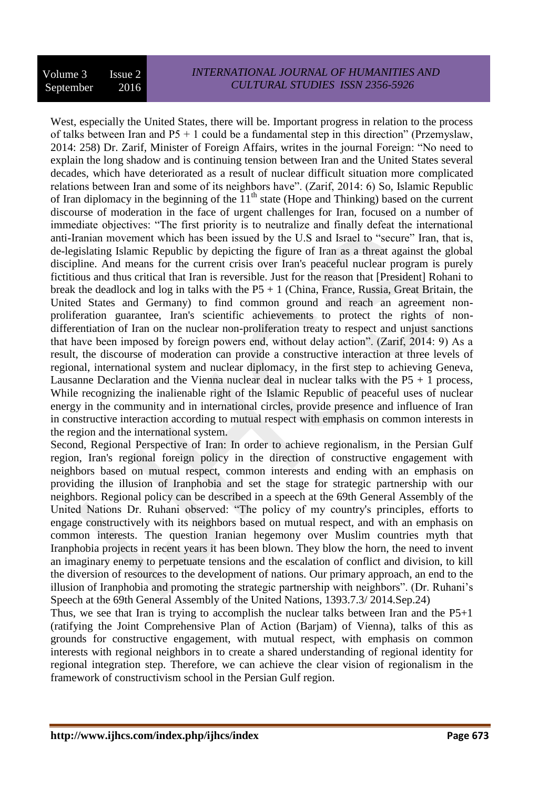West, especially the United States, there will be. Important progress in relation to the process of talks between Iran and  $P5 + 1$  could be a fundamental step in this direction" (Przemyslaw, 2014: 258) Dr. Zarif, Minister of Foreign Affairs, writes in the journal Foreign: "No need to explain the long shadow and is continuing tension between Iran and the United States several decades, which have deteriorated as a result of nuclear difficult situation more complicated relations between Iran and some of its neighbors have". (Zarif, 2014: 6) So, Islamic Republic of Iran diplomacy in the beginning of the  $11<sup>th</sup>$  state (Hope and Thinking) based on the current discourse of moderation in the face of urgent challenges for Iran, focused on a number of immediate objectives: "The first priority is to neutralize and finally defeat the international anti-Iranian movement which has been issued by the U.S and Israel to "secure" Iran, that is, de-legislating Islamic Republic by depicting the figure of Iran as a threat against the global discipline. And means for the current crisis over Iran's peaceful nuclear program is purely fictitious and thus critical that Iran is reversible. Just for the reason that [President] Rohani to break the deadlock and log in talks with the  $P5 + 1$  (China, France, Russia, Great Britain, the United States and Germany) to find common ground and reach an agreement nonproliferation guarantee, Iran's scientific achievements to protect the rights of nondifferentiation of Iran on the nuclear non-proliferation treaty to respect and unjust sanctions that have been imposed by foreign powers end, without delay action". (Zarif, 2014: 9) As a result, the discourse of moderation can provide a constructive interaction at three levels of regional, international system and nuclear diplomacy, in the first step to achieving Geneva, Lausanne Declaration and the Vienna nuclear deal in nuclear talks with the  $P5 + 1$  process, While recognizing the inalienable right of the Islamic Republic of peaceful uses of nuclear energy in the community and in international circles, provide presence and influence of Iran in constructive interaction according to mutual respect with emphasis on common interests in the region and the international system.

Second, Regional Perspective of Iran: In order to achieve regionalism, in the Persian Gulf region, Iran's regional foreign policy in the direction of constructive engagement with neighbors based on mutual respect, common interests and ending with an emphasis on providing the illusion of Iranphobia and set the stage for strategic partnership with our neighbors. Regional policy can be described in a speech at the 69th General Assembly of the United Nations Dr. Ruhani observed: "The policy of my country's principles, efforts to engage constructively with its neighbors based on mutual respect, and with an emphasis on common interests. The question Iranian hegemony over Muslim countries myth that Iranphobia projects in recent years it has been blown. They blow the horn, the need to invent an imaginary enemy to perpetuate tensions and the escalation of conflict and division, to kill the diversion of resources to the development of nations. Our primary approach, an end to the illusion of Iranphobia and promoting the strategic partnership with neighbors". (Dr. Ruhani's Speech at the 69th General Assembly of the United Nations, 1393.7.3/ 2014.Sep.24)

Thus, we see that Iran is trying to accomplish the nuclear talks between Iran and the P5+1 (ratifying the Joint Comprehensive Plan of Action (Barjam) of Vienna), talks of this as grounds for constructive engagement, with mutual respect, with emphasis on common interests with regional neighbors in to create a shared understanding of regional identity for regional integration step. Therefore, we can achieve the clear vision of regionalism in the framework of constructivism school in the Persian Gulf region.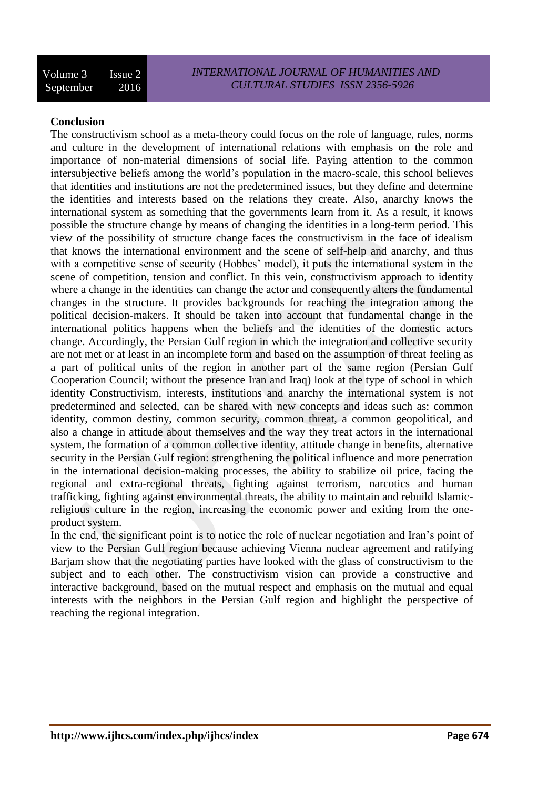# **Conclusion**

The constructivism school as a meta-theory could focus on the role of language, rules, norms and culture in the development of international relations with emphasis on the role and importance of non-material dimensions of social life. Paying attention to the common intersubjective beliefs among the world's population in the macro-scale, this school believes that identities and institutions are not the predetermined issues, but they define and determine the identities and interests based on the relations they create. Also, anarchy knows the international system as something that the governments learn from it. As a result, it knows possible the structure change by means of changing the identities in a long-term period. This view of the possibility of structure change faces the constructivism in the face of idealism that knows the international environment and the scene of self-help and anarchy, and thus with a competitive sense of security (Hobbes' model), it puts the international system in the scene of competition, tension and conflict. In this vein, constructivism approach to identity where a change in the identities can change the actor and consequently alters the fundamental changes in the structure. It provides backgrounds for reaching the integration among the political decision-makers. It should be taken into account that fundamental change in the international politics happens when the beliefs and the identities of the domestic actors change. Accordingly, the Persian Gulf region in which the integration and collective security are not met or at least in an incomplete form and based on the assumption of threat feeling as a part of political units of the region in another part of the same region (Persian Gulf Cooperation Council; without the presence Iran and Iraq) look at the type of school in which identity Constructivism, interests, institutions and anarchy the international system is not predetermined and selected, can be shared with new concepts and ideas such as: common identity, common destiny, common security, common threat, a common geopolitical, and also a change in attitude about themselves and the way they treat actors in the international system, the formation of a common collective identity, attitude change in benefits, alternative security in the Persian Gulf region: strengthening the political influence and more penetration in the international decision-making processes, the ability to stabilize oil price, facing the regional and extra-regional threats, fighting against terrorism, narcotics and human trafficking, fighting against environmental threats, the ability to maintain and rebuild Islamicreligious culture in the region, increasing the economic power and exiting from the oneproduct system.

In the end, the significant point is to notice the role of nuclear negotiation and Iran's point of view to the Persian Gulf region because achieving Vienna nuclear agreement and ratifying Barjam show that the negotiating parties have looked with the glass of constructivism to the subject and to each other. The constructivism vision can provide a constructive and interactive background, based on the mutual respect and emphasis on the mutual and equal interests with the neighbors in the Persian Gulf region and highlight the perspective of reaching the regional integration.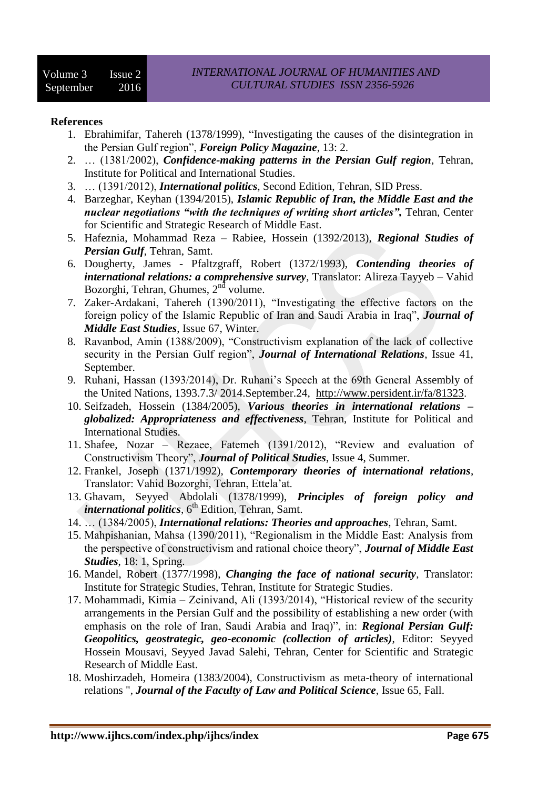#### **References**

- 1. Ebrahimifar, Tahereh (1378/1999), "Investigating the causes of the disintegration in the Persian Gulf region", *Foreign Policy Magazine*, 13: 2.
- 2. … (1381/2002), *Confidence-making patterns in the Persian Gulf region*, Tehran, Institute for Political and International Studies.
- 3. … (1391/2012), *International politics*, Second Edition, Tehran, SID Press.
- 4. Barzeghar, Keyhan (1394/2015), *Islamic Republic of Iran, the Middle East and the nuclear negotiations "with the techniques of writing short articles", Tehran, Center* for Scientific and Strategic Research of Middle East.
- 5. Hafeznia, Mohammad Reza Rabiee, Hossein (1392/2013), *Regional Studies of Persian Gulf*, Tehran, Samt.
- 6. Dougherty, James Pfaltzgraff, Robert (1372/1993), *Contending theories of international relations: a comprehensive survey*, Translator: Alireza Tayyeb – Vahid Bozorghi, Tehran, Ghumes, 2<sup>nd</sup> volume.
- 7. Zaker-Ardakani, Tahereh (1390/2011), "Investigating the effective factors on the foreign policy of the Islamic Republic of Iran and Saudi Arabia in Iraq", *Journal of Middle East Studies*, Issue 67, Winter.
- 8. Ravanbod, Amin (1388/2009), "Constructivism explanation of the lack of collective security in the Persian Gulf region", *Journal of International Relations*, Issue 41, September.
- 9. Ruhani, Hassan (1393/2014), Dr. Ruhani's Speech at the 69th General Assembly of the United Nations, 1393.7.3/ 2014.September.24, [http://www.persident.ir/fa/81323.](http://www.persident.ir/fa/81323)
- 10. Seifzadeh, Hossein (1384/2005), *Various theories in international relations – globalized: Appropriateness and effectiveness*, Tehran, Institute for Political and International Studies.
- 11. Shafee, Nozar Rezaee, Fatemeh (1391/2012), "Review and evaluation of Constructivism Theory", *Journal of Political Studies*, Issue 4, Summer.
- 12. Frankel, Joseph (1371/1992), *Contemporary theories of international relations*, Translator: Vahid Bozorghi, Tehran, Ettela'at.
- 13. Ghavam, Seyyed Abdolali (1378/1999), *Principles of foreign policy and international politics*, 6<sup>th</sup> Edition, Tehran, Samt.
- 14. … (1384/2005), *International relations: Theories and approaches*, Tehran, Samt.
- 15. Mahpishanian, Mahsa (1390/2011), "Regionalism in the Middle East: Analysis from the perspective of constructivism and rational choice theory", *Journal of Middle East Studies*, 18: 1, Spring.
- 16. Mandel, Robert (1377/1998), *Changing the face of national security*, Translator: Institute for Strategic Studies, Tehran, Institute for Strategic Studies.
- 17. Mohammadi, Kimia Zeinivand, Ali (1393/2014), "Historical review of the security arrangements in the Persian Gulf and the possibility of establishing a new order (with emphasis on the role of Iran, Saudi Arabia and Iraq)", in: *Regional Persian Gulf: Geopolitics, geostrategic, geo-economic (collection of articles)*, Editor: Seyyed Hossein Mousavi, Seyyed Javad Salehi, Tehran, Center for Scientific and Strategic Research of Middle East.
- 18. Moshirzadeh, Homeira (1383/2004), Constructivism as meta-theory of international relations ", *Journal of the Faculty of Law and Political Science*, Issue 65, Fall.